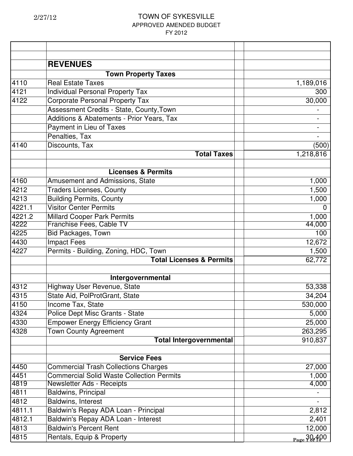|        | <b>REVENUES</b>                                  |                         |
|--------|--------------------------------------------------|-------------------------|
|        | <b>Town Property Taxes</b>                       |                         |
| 4110   | <b>Real Estate Taxes</b>                         | 1,189,016               |
| 4121   | <b>Individual Personal Property Tax</b>          | 300                     |
| 4122   | <b>Corporate Personal Property Tax</b>           | 30,000                  |
|        | Assessment Credits - State, County, Town         |                         |
|        | Additions & Abatements - Prior Years, Tax        |                         |
|        | Payment in Lieu of Taxes                         |                         |
|        | Penalties, Tax                                   |                         |
| 4140   | Discounts, Tax                                   | (500)                   |
|        | <b>Total Taxes</b>                               | 1,218,816               |
|        | <b>Licenses &amp; Permits</b>                    |                         |
| 4160   | Amusement and Admissions, State                  | 1,000                   |
| 4212   | <b>Traders Licenses, County</b>                  | 1,500                   |
| 4213   | <b>Building Permits, County</b>                  | 1,000                   |
| 4221.1 | <b>Visitor Center Permits</b>                    | $\Omega$                |
| 4221.2 | <b>Millard Cooper Park Permits</b>               | 1,000                   |
| 4222   | Franchise Fees, Cable TV                         | 44,000                  |
| 4225   | <b>Bid Packages, Town</b>                        | 100                     |
| 4430   | <b>Impact Fees</b>                               | 12,672                  |
| 4227   | Permits - Building, Zoning, HDC, Town            | 1,500                   |
|        | <b>Total Licenses &amp; Permits</b>              | 62,772                  |
|        | Intergovernmental                                |                         |
| 4312   | Highway User Revenue, State                      | 53,338                  |
| 4315   | State Aid, PolProtGrant, State                   | 34,204                  |
| 4150   | Income Tax, State                                | 530,000                 |
| 4324   | Police Dept Misc Grants - State                  | 5,000                   |
| 4330   | <b>Empower Energy Efficiency Grant</b>           | 25,000                  |
| 4328   | <b>Town County Agreement</b>                     | 263,295                 |
|        | <b>Total Intergovernmental</b>                   | 910,837                 |
|        |                                                  |                         |
|        | <b>Service Fees</b>                              |                         |
| 4450   | <b>Commercial Trash Collections Charges</b>      | 27,000                  |
| 4451   | <b>Commercial Solid Waste Collection Permits</b> | 1,000                   |
| 4819   | <b>Newsletter Ads - Receipts</b>                 | 4,000                   |
| 4811   | <b>Baldwins, Principal</b>                       |                         |
| 4812   | Baldwins, Interest                               |                         |
| 4811.1 | Baldwin's Repay ADA Loan - Principal             | 2,812                   |
| 4812.1 | Baldwin's Repay ADA Loan - Interest              | 2,401                   |
| 4813   | <b>Baldwin's Percent Rent</b>                    | 12,000                  |
| 4815   | Rentals, Equip & Property                        | $_{\text{Page}}$ 30.400 |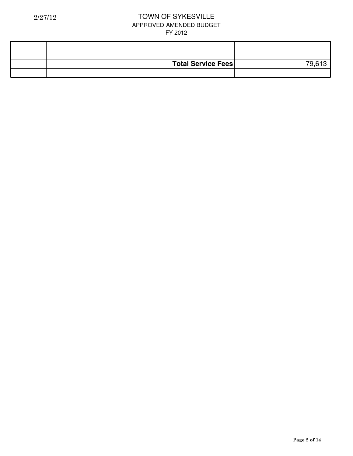| <b>Total Service Fees</b> |  |
|---------------------------|--|
|                           |  |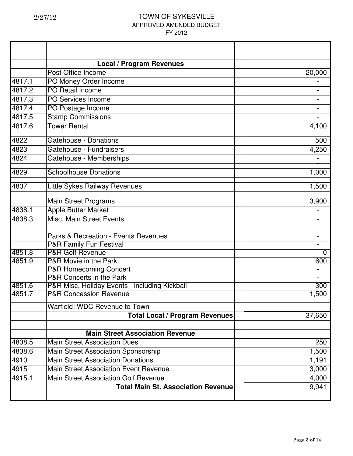|        | <b>Local / Program Revenues</b>               |          |
|--------|-----------------------------------------------|----------|
|        | Post Office Income                            | 20,000   |
| 4817.1 | PO Money Order Income                         |          |
| 4817.2 | PO Retail Income                              |          |
| 4817.3 | PO Services Income                            |          |
| 4817.4 | PO Postage Income                             |          |
| 4817.5 | <b>Stamp Commissions</b>                      |          |
| 4817.6 | <b>Tower Rental</b>                           | 4,100    |
| 4822   | <b>Gatehouse - Donations</b>                  | 500      |
| 4823   | Gatehouse - Fundraisers                       | 4,250    |
| 4824   | Gatehouse - Memberships                       |          |
| 4829   | <b>Schoolhouse Donations</b>                  | 1,000    |
| 4837   | Little Sykes Railway Revenues                 | 1,500    |
|        | <b>Main Street Programs</b>                   | 3,900    |
| 4838.1 | <b>Apple Butter Market</b>                    |          |
| 4838.3 | Misc. Main Street Events                      |          |
|        | Parks & Recreation - Events Revenues          |          |
|        | <b>P&amp;R Family Fun Festival</b>            |          |
| 4851.8 | <b>P&amp;R Golf Revenue</b>                   | $\Omega$ |
| 4851.9 | P&R Movie in the Park                         | 600      |
|        | <b>P&amp;R Homecoming Concert</b>             |          |
|        | P&R Concerts in the Park                      |          |
| 4851.6 | P&R Misc. Holiday Events - including Kickball | 300      |
| 4851.7 | <b>P&amp;R Concession Revenue</b>             | 1,500    |
|        | Warfield: WDC Revenue to Town                 |          |
|        | <b>Total Local / Program Revenues</b>         | 37,650   |
|        | <b>Main Street Association Revenue</b>        |          |
| 4838.5 | <b>Main Street Association Dues</b>           | 250      |
| 4838.6 | Main Street Association Sponsorship           | 1,500    |
| 4910   | <b>Main Street Association Donations</b>      | 1,191    |
| 4915   | <b>Main Street Association Event Revenue</b>  | 3,000    |
| 4915.1 | <b>Main Street Association Golf Revenue</b>   | 4,000    |
|        | <b>Total Main St. Association Revenue</b>     | 9,941    |
|        |                                               |          |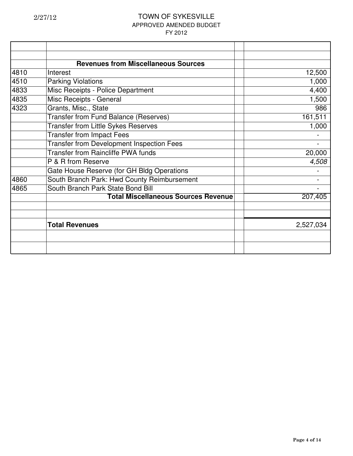|      | <b>Revenues from Miscellaneous Sources</b>       |           |
|------|--------------------------------------------------|-----------|
| 4810 | Interest                                         | 12,500    |
| 4510 | <b>Parking Violations</b>                        | 1,000     |
| 4833 | Misc Receipts - Police Department                | 4,400     |
| 4835 | Misc Receipts - General                          | 1,500     |
| 4323 | Grants, Misc., State                             | 986       |
|      | Transfer from Fund Balance (Reserves)            | 161,511   |
|      | <b>Transfer from Little Sykes Reserves</b>       | 1,000     |
|      | <b>Transfer from Impact Fees</b>                 |           |
|      | <b>Transfer from Development Inspection Fees</b> |           |
|      | <b>Transfer from Raincliffe PWA funds</b>        | 20,000    |
|      | P & R from Reserve                               | 4,508     |
|      | Gate House Reserve (for GH Bldg Operations       |           |
| 4860 | South Branch Park: Hwd County Reimbursement      |           |
| 4865 | South Branch Park State Bond Bill                |           |
|      | <b>Total Miscellaneous Sources Revenue</b>       | 207,405   |
|      |                                                  |           |
|      |                                                  |           |
|      | <b>Total Revenues</b>                            | 2,527,034 |
|      |                                                  |           |
|      |                                                  |           |
|      |                                                  |           |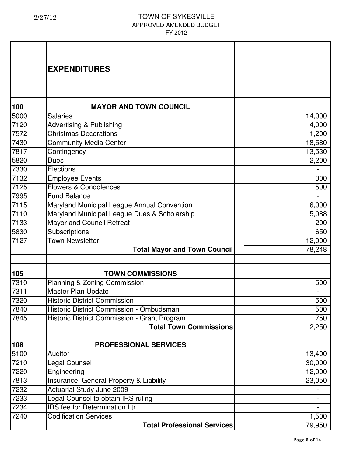|      | <b>EXPENDITURES</b>                          |        |
|------|----------------------------------------------|--------|
|      |                                              |        |
|      |                                              |        |
|      |                                              |        |
| 100  | <b>MAYOR AND TOWN COUNCIL</b>                |        |
| 5000 | <b>Salaries</b>                              | 14,000 |
| 7120 | <b>Advertising &amp; Publishing</b>          | 4,000  |
| 7572 | <b>Christmas Decorations</b>                 | 1,200  |
| 7430 | <b>Community Media Center</b>                | 18,580 |
| 7817 | Contingency                                  | 13,530 |
| 5820 | <b>Dues</b>                                  | 2,200  |
| 7330 | Elections                                    |        |
| 7132 | <b>Employee Events</b>                       | 300    |
| 7125 | <b>Flowers &amp; Condolences</b>             | 500    |
| 7995 | <b>Fund Balance</b>                          |        |
| 7115 | Maryland Municipal League Annual Convention  | 6,000  |
| 7110 | Maryland Municipal League Dues & Scholarship | 5,088  |
| 7133 | Mayor and Council Retreat                    | 200    |
| 5830 | Subscriptions                                | 650    |
| 7127 | <b>Town Newsletter</b>                       | 12,000 |
|      | <b>Total Mayor and Town Council</b>          | 78,248 |
|      |                                              |        |
| 105  | <b>TOWN COMMISSIONS</b>                      |        |
| 7310 | Planning & Zoning Commission                 | 500    |
| 7311 | Master Plan Update                           |        |
| 7320 | <b>Historic District Commission</b>          | 500    |
| 7840 | Historic District Commission - Ombudsman     | 500    |
| 7845 | Historic District Commission - Grant Program | 750    |
|      | <b>Total Town Commissions</b>                | 2,250  |
| 108  | <b>PROFESSIONAL SERVICES</b>                 |        |
| 5100 | Auditor                                      | 13,400 |
| 7210 | Legal Counsel                                | 30,000 |
| 7220 | Engineering                                  | 12,000 |
| 7813 | Insurance: General Property & Liability      | 23,050 |
| 7232 | Actuarial Study June 2009                    |        |
| 7233 | Legal Counsel to obtain IRS ruling           |        |
| 7234 | <b>IRS</b> fee for Determination Ltr         |        |
| 7240 | <b>Codification Services</b>                 | 1,500  |
|      | <b>Total Professional Services</b>           | 79,950 |
|      |                                              |        |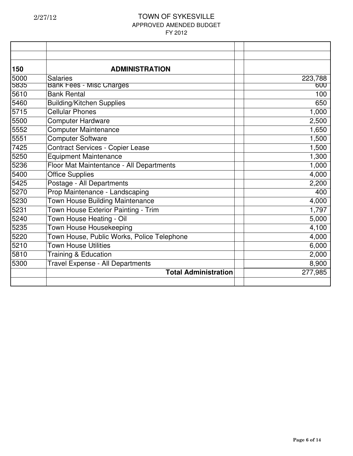| 150  | <b>ADMINISTRATION</b>                      |         |
|------|--------------------------------------------|---------|
| 5000 | <b>Salaries</b>                            | 223,788 |
| 5835 | <b>Bank Fees - Misc Charges</b>            | 600     |
| 5610 | <b>Bank Rental</b>                         | 100     |
| 5460 | <b>Building/Kitchen Supplies</b>           | 650     |
| 5715 | <b>Cellular Phones</b>                     | 1,000   |
| 5500 | <b>Computer Hardware</b>                   | 2,500   |
| 5552 | <b>Computer Maintenance</b>                | 1,650   |
| 5551 | <b>Computer Software</b>                   | 1,500   |
| 7425 | <b>Contract Services - Copier Lease</b>    | 1,500   |
| 5250 | <b>Equipment Maintenance</b>               | 1,300   |
| 5236 | Floor Mat Maintentance - All Departments   | 1,000   |
| 5400 | <b>Office Supplies</b>                     | 4,000   |
| 5425 | Postage - All Departments                  | 2,200   |
| 5270 | Prop Maintenance - Landscaping             | 400     |
| 5230 | <b>Town House Building Maintenance</b>     | 4,000   |
| 5231 | Town House Exterior Painting - Trim        | 1,797   |
| 5240 | Town House Heating - Oil                   | 5,000   |
| 5235 | Town House Housekeeping                    | 4,100   |
| 5220 | Town House, Public Works, Police Telephone | 4,000   |
| 5210 | <b>Town House Utilities</b>                | 6,000   |
| 5810 | <b>Training &amp; Education</b>            | 2,000   |
| 5300 | Travel Expense - All Departments           | 8,900   |
|      | <b>Total Administration</b>                | 277,985 |
|      |                                            |         |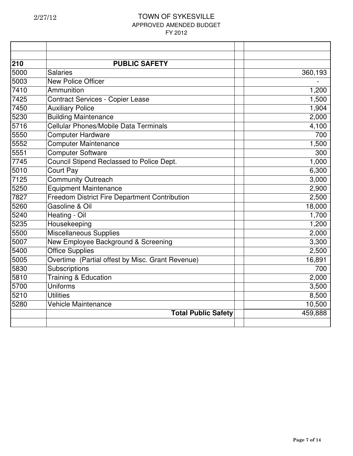| 210  | <b>PUBLIC SAFETY</b>                             |         |
|------|--------------------------------------------------|---------|
| 5000 | <b>Salaries</b>                                  | 360,193 |
| 5003 | <b>New Police Officer</b>                        |         |
| 7410 | Ammunition                                       | 1,200   |
| 7425 | <b>Contract Services - Copier Lease</b>          | 1,500   |
| 7450 | <b>Auxiliary Police</b>                          | 1,904   |
| 5230 | <b>Building Maintenance</b>                      | 2,000   |
| 5716 | Cellular Phones/Mobile Data Terminals            | 4,100   |
| 5550 | <b>Computer Hardware</b>                         | 700     |
| 5552 | <b>Computer Maintenance</b>                      | 1,500   |
| 5551 | <b>Computer Software</b>                         | 300     |
| 7745 | Council Stipend Reclassed to Police Dept.        | 1,000   |
| 5010 | <b>Court Pay</b>                                 | 6,300   |
| 7125 | <b>Community Outreach</b>                        | 3,000   |
| 5250 | Equipment Maintenance                            | 2,900   |
| 7827 | Freedom District Fire Department Contribution    | 2,500   |
| 5260 | Gasoline & Oil                                   | 18,000  |
| 5240 | Heating - Oil                                    | 1,700   |
| 5235 | Housekeeping                                     | 1,200   |
| 5500 | <b>Miscellaneous Supplies</b>                    | 2,000   |
| 5007 | New Employee Background & Screening              | 3,300   |
| 5400 | <b>Office Supplies</b>                           | 2,500   |
| 5005 | Overtime (Partial offest by Misc. Grant Revenue) | 16,891  |
| 5830 | Subscriptions                                    | 700     |
| 5810 | <b>Training &amp; Education</b>                  | 2,000   |
| 5700 | Uniforms                                         | 3,500   |
| 5210 | <b>Utilities</b>                                 | 8,500   |
| 5280 | Vehicle Maintenance                              | 10,500  |
|      | <b>Total Public Safety</b>                       | 459,888 |
|      |                                                  |         |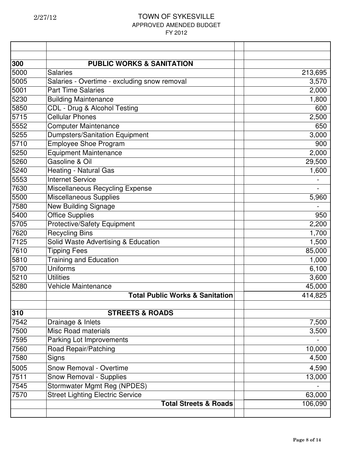| 300  | <b>PUBLIC WORKS &amp; SANITATION</b>         |         |
|------|----------------------------------------------|---------|
| 5000 | <b>Salaries</b>                              | 213,695 |
| 5005 | Salaries - Overtime - excluding snow removal | 3,570   |
| 5001 | <b>Part Time Salaries</b>                    | 2,000   |
| 5230 | <b>Building Maintenance</b>                  | 1,800   |
| 5850 | CDL - Drug & Alcohol Testing                 | 600     |
| 5715 | <b>Cellular Phones</b>                       | 2,500   |
| 5552 | <b>Computer Maintenance</b>                  | 650     |
| 5255 | <b>Dumpsters/Sanitation Equipment</b>        | 3,000   |
| 5710 | <b>Employee Shoe Program</b>                 | 900     |
| 5250 | <b>Equipment Maintenance</b>                 | 2,000   |
| 5260 | Gasoline & Oil                               | 29,500  |
| 5240 | Heating - Natural Gas                        | 1,600   |
| 5553 | <b>Internet Service</b>                      |         |
| 7630 | Miscellaneous Recycling Expense              |         |
| 5500 | <b>Miscellaneous Supplies</b>                | 5,960   |
| 7580 | <b>New Building Signage</b>                  |         |
| 5400 | <b>Office Supplies</b>                       | 950     |
| 5705 | <b>Protective/Safety Equipment</b>           | 2,200   |
| 7620 | <b>Recycling Bins</b>                        | 1,700   |
| 7125 | Solid Waste Advertising & Education          | 1,500   |
| 7610 | <b>Tipping Fees</b>                          | 85,000  |
| 5810 | <b>Training and Education</b>                | 1,000   |
| 5700 | <b>Uniforms</b>                              | 6,100   |
| 5210 | <b>Utilities</b>                             | 3,600   |
| 5280 | <b>Vehicle Maintenance</b>                   | 45,000  |
|      | <b>Total Public Works &amp; Sanitation</b>   | 414,825 |
| 310  | <b>STREETS &amp; ROADS</b>                   |         |
| 7542 | Drainage & Inlets                            | 7,500   |
| 7500 | <b>Misc Road materials</b>                   | 3,500   |
| 7595 | Parking Lot Improvements                     |         |
| 7560 | Road Repair/Patching                         | 10,000  |
| 7580 | Signs                                        | 4,500   |
| 5005 | <b>Snow Removal - Overtime</b>               | 4,590   |
| 7511 | <b>Snow Removal - Supplies</b>               | 13,000  |
| 7545 | Stormwater Mgmt Reg (NPDES)                  |         |
| 7570 | <b>Street Lighting Electric Service</b>      | 63,000  |
|      | <b>Total Streets &amp; Roads</b>             | 106,090 |
|      |                                              |         |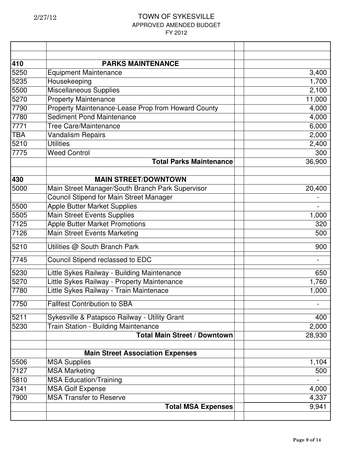| 410        | <b>PARKS MAINTENANCE</b>                           |        |
|------------|----------------------------------------------------|--------|
| 5250       | <b>Equipment Maintenance</b>                       | 3,400  |
| 5235       | Housekeeping                                       | 1,700  |
| 5500       | Miscellaneous Supplies                             | 2,100  |
| 5270       | <b>Property Maintenance</b>                        | 11,000 |
| 7790       | Property Maintenance-Lease Prop from Howard County | 4,000  |
| 7780       | Sediment Pond Maintenance                          | 4,000  |
| 7771       | <b>Tree Care/Maintenance</b>                       | 6,000  |
| <b>TBA</b> | <b>Vandalism Repairs</b>                           | 2,000  |
| 5210       | <b>Utilities</b>                                   | 2,400  |
| 7775       | <b>Weed Control</b>                                | 300    |
|            | <b>Total Parks Maintenance</b>                     | 36,900 |
|            |                                                    |        |
| 430        | <b>MAIN STREET/DOWNTOWN</b>                        |        |
| 5000       | Main Street Manager/South Branch Park Supervisor   | 20,400 |
|            | <b>Council Stipend for Main Street Manager</b>     |        |
| 5500       | <b>Apple Butter Market Supplies</b>                |        |
| 5505       | <b>Main Street Events Supplies</b>                 | 1,000  |
| 7125       | <b>Apple Butter Market Promotions</b>              | 320    |
| 7126       | Main Street Events Marketing                       | 500    |
| 5210       | Utilities @ South Branch Park                      | 900    |
| 7745       | Council Stipend reclassed to EDC                   |        |
| 5230       | Little Sykes Railway - Building Maintenance        | 650    |
| 5270       | Little Sykes Railway - Property Maintenance        | 1,760  |
| 7780       | Little Sykes Railway - Train Maintenace            | 1,000  |
| 7750       | <b>Fallfest Contribution to SBA</b>                |        |
| 5211       | Sykesville & Patapsco Railway - Utility Grant      | 400    |
| 5230       | <b>Train Station - Building Maintenance</b>        | 2,000  |
|            | <b>Total Main Street / Downtown</b>                | 28,930 |
|            |                                                    |        |
|            | <b>Main Street Association Expenses</b>            |        |
| 5506       | <b>MSA Supplies</b>                                | 1,104  |
| 7127       | <b>MSA Marketing</b>                               | 500    |
| 5810       | <b>MSA Education/Training</b>                      |        |
| 7341       | <b>MSA Golf Expense</b>                            | 4,000  |
| 7900       | <b>MSA Transfer to Reserve</b>                     | 4,337  |
|            | <b>Total MSA Expenses</b>                          | 9,941  |
|            |                                                    |        |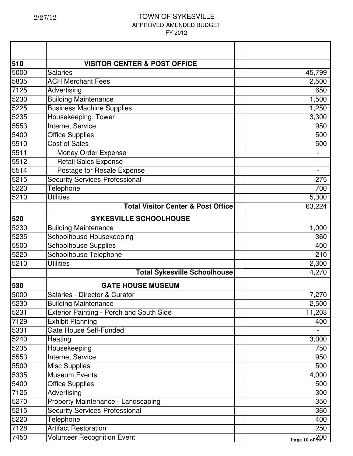| 510  | <b>VISITOR CENTER &amp; POST OFFICE</b>         |                  |
|------|-------------------------------------------------|------------------|
| 5000 | <b>Salaries</b>                                 | 45,799           |
| 5835 | <b>ACH Merchant Fees</b>                        | 2,500            |
| 7125 | Advertising                                     | 650              |
| 5230 | <b>Building Maintenance</b>                     | 1,500            |
| 5225 | <b>Business Machine Supplies</b>                | 1,250            |
| 5235 | Housekeeping: Tower                             | 3,300            |
| 5553 | <b>Internet Service</b>                         | 950              |
| 5400 | <b>Office Supplies</b>                          | 500              |
| 5510 | <b>Cost of Sales</b>                            | 500              |
| 5511 | Money Order Expense                             |                  |
| 5512 | <b>Retail Sales Expense</b>                     |                  |
| 5514 | Postage for Resale Expense                      |                  |
| 5215 | <b>Security Services-Professional</b>           | 275              |
| 5220 | <b>Telephone</b>                                | 700              |
| 5210 | <b>Utilities</b>                                | 5,300            |
|      | <b>Total Visitor Center &amp; Post Office</b>   | 63,224           |
| 520  | <b>SYKESVILLE SCHOOLHOUSE</b>                   |                  |
| 5230 | <b>Building Maintenance</b>                     | 1,000            |
| 5235 | Schoolhouse Housekeeping                        | 360              |
| 5500 | <b>Schoolhouse Supplies</b>                     | 400              |
| 5220 | Schoolhouse Telephone                           | 210              |
| 5210 | <b>Utilities</b>                                | 2,300            |
|      | <b>Total Sykesville Schoolhouse</b>             | 4,270            |
| 530  | <b>GATE HOUSE MUSEUM</b>                        |                  |
| 5000 | Salaries - Director & Curator                   | 7,270            |
| 5230 | <b>Building Maintenance</b>                     | 2,500            |
| 5231 | <b>Exterior Painting - Porch and South Side</b> | 11,203           |
| 7129 | <b>Exhibit Planning</b>                         | 400              |
| 5331 | <b>Gate House Self-Funded</b>                   |                  |
| 5240 | Heating                                         | 3,000            |
| 5235 | Housekeeping                                    | 750              |
| 5553 | <b>Internet Service</b>                         | 950              |
| 5500 | <b>Misc Supplies</b>                            | 500              |
| 5335 | <b>Museum Events</b>                            | 4,000            |
| 5400 | <b>Office Supplies</b>                          | 500              |
| 7125 | Advertising                                     | 300              |
| 5270 | Property Maintenance - Landscaping              | 350              |
| 5215 | Security Services-Professional                  | 360              |
| 5220 | Telephone                                       | 400              |
| 7128 | <b>Artifact Restoration</b>                     | 250              |
| 7450 | <b>Volunteer Recognition Event</b>              | Page 10 of $200$ |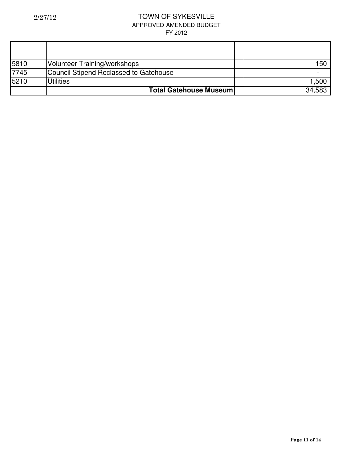| 5810 | <b>Volunteer Training/workshops</b>    | 150    |
|------|----------------------------------------|--------|
| 7745 | Council Stipend Reclassed to Gatehouse |        |
| 5210 | <b>Utilities</b>                       | 1,500  |
|      | <b>Total Gatehouse Museum</b>          | 34,583 |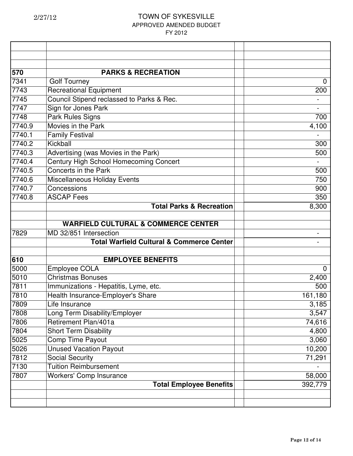| 570    | <b>PARKS &amp; RECREATION</b>                        |             |
|--------|------------------------------------------------------|-------------|
| 7341   | <b>Golf Tourney</b>                                  | 0           |
| 7743   | <b>Recreational Equipment</b>                        | 200         |
| 7745   | Council Stipend reclassed to Parks & Rec.            |             |
| 7747   | Sign for Jones Park                                  |             |
| 7748   | Park Rules Signs                                     | 700         |
| 7740.9 | Movies in the Park                                   | 4,100       |
| 7740.1 | <b>Family Festival</b>                               |             |
| 7740.2 | Kickball                                             | 300         |
| 7740.3 | Advertising (was Movies in the Park)                 | 500         |
| 7740.4 | Century High School Homecoming Concert               |             |
| 7740.5 | Concerts in the Park                                 | 500         |
| 7740.6 | Miscellaneous Holiday Events                         | 750         |
| 7740.7 | Concessions                                          | 900         |
| 7740.8 | <b>ASCAP Fees</b>                                    | 350         |
|        | <b>Total Parks &amp; Recreation</b>                  | 8,300       |
|        |                                                      |             |
|        | <b>WARFIELD CULTURAL &amp; COMMERCE CENTER</b>       |             |
| 7829   | MD 32/851 Intersection                               |             |
|        | <b>Total Warfield Cultural &amp; Commerce Center</b> |             |
|        |                                                      |             |
| 610    | <b>EMPLOYEE BENEFITS</b>                             |             |
| 5000   | <b>Employee COLA</b>                                 | $\mathbf 0$ |
| 5010   | <b>Christmas Bonuses</b>                             | 2,400       |
| 7811   | Immunizations - Hepatitis, Lyme, etc.                | 500         |
| 7810   | Health Insurance-Employer's Share                    | 161,180     |
| 7809   | Life Insurance                                       | 3,185       |
| 7808   | Long Term Disability/Employer                        | 3,547       |
| 7806   | Retirement Plan/401a                                 | 74,616      |
| 7804   | <b>Short Term Disability</b>                         | 4,800       |
| 5025   | Comp Time Payout                                     | 3,060       |
| 5026   | <b>Unused Vacation Payout</b>                        | 10,200      |
| 7812   | <b>Social Security</b>                               | 71,291      |
| 7130   | <b>Tuition Reimbursement</b>                         |             |
| 7807   | <b>Workers' Comp Insurance</b>                       | 58,000      |
|        | <b>Total Employee Benefits</b>                       | 392,779     |
|        |                                                      |             |
|        |                                                      |             |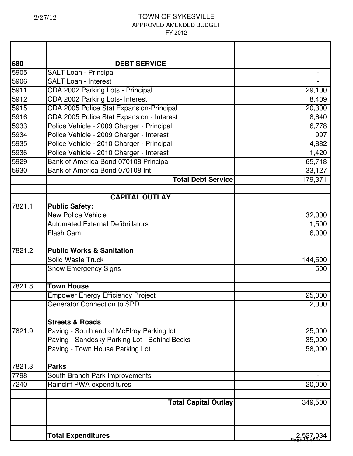| 680    | <b>DEBT SERVICE</b>                                                                       |           |
|--------|-------------------------------------------------------------------------------------------|-----------|
| 5905   | <b>SALT Loan - Principal</b>                                                              |           |
| 5906   | <b>SALT Loan - Interest</b>                                                               |           |
| 5911   | CDA 2002 Parking Lots - Principal                                                         | 29,100    |
| 5912   | CDA 2002 Parking Lots- Interest                                                           | 8,409     |
| 5915   | CDA 2005 Police Stat Expansion-Principal                                                  | 20,300    |
| 5916   | CDA 2005 Police Stat Expansion - Interest                                                 | 8,640     |
| 5933   | Police Vehicle - 2009 Charger - Principal                                                 | 6,778     |
| 5934   | Police Vehicle - 2009 Charger - Interest                                                  | 997       |
| 5935   | Police Vehicle - 2010 Charger - Principal                                                 | 4,882     |
| 5936   | Police Vehicle - 2010 Charger - Interest                                                  | 1,420     |
| 5929   | Bank of America Bond 070108 Principal                                                     | 65,718    |
| 5930   | Bank of America Bond 070108 Int                                                           | 33,127    |
|        | <b>Total Debt Service</b>                                                                 | 179,371   |
|        |                                                                                           |           |
|        | <b>CAPITAL OUTLAY</b>                                                                     |           |
| 7821.1 | <b>Public Safety:</b>                                                                     |           |
|        | <b>New Police Vehicle</b>                                                                 | 32,000    |
|        | <b>Automated External Defibrillators</b>                                                  | 1,500     |
|        | <b>Flash Cam</b>                                                                          | 6,000     |
| 7821.2 | <b>Public Works &amp; Sanitation</b>                                                      |           |
|        | <b>Solid Waste Truck</b>                                                                  | 144,500   |
|        | <b>Snow Emergency Signs</b>                                                               | 500       |
| 7821.8 | <b>Town House</b>                                                                         |           |
|        | <b>Empower Energy Efficiency Project</b>                                                  | 25,000    |
|        | Generator Connection to SPD                                                               | 2,000     |
|        | <b>Streets &amp; Roads</b>                                                                |           |
| 7821.9 |                                                                                           | 25,000    |
|        | Paving - South end of McElroy Parking lot<br>Paving - Sandosky Parking Lot - Behind Becks | 35,000    |
|        | Paving - Town House Parking Lot                                                           | 58,000    |
|        |                                                                                           |           |
| 7821.3 | <b>Parks</b>                                                                              |           |
| 7798   | South Branch Park Improvements                                                            |           |
| 7240   | Raincliff PWA expenditures                                                                | 20,000    |
|        | <b>Total Capital Outlay</b>                                                               | 349,500   |
|        |                                                                                           |           |
|        | <b>Total Expenditures</b>                                                                 | 2,527,034 |